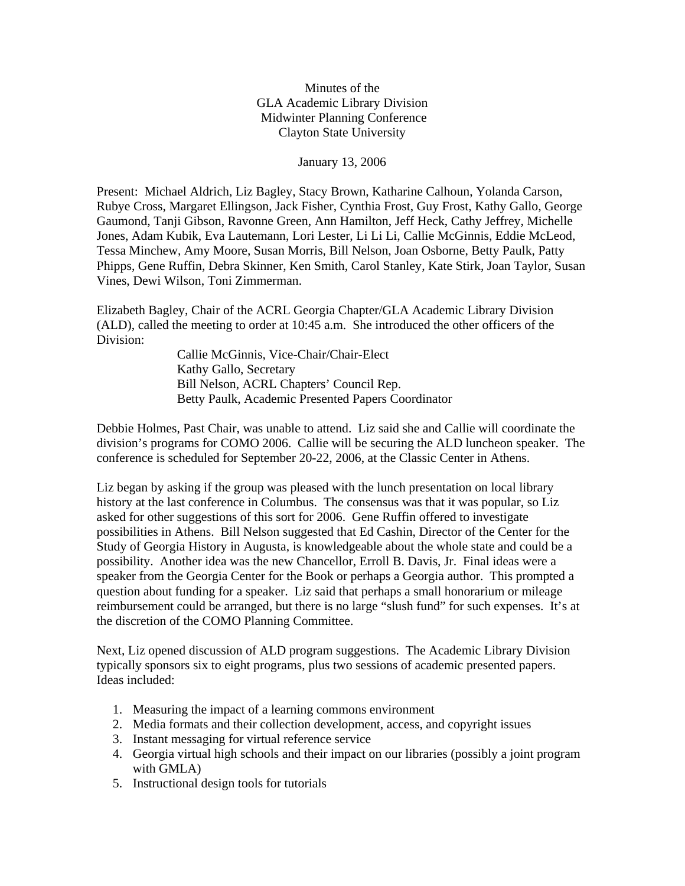Minutes of the GLA Academic Library Division Midwinter Planning Conference Clayton State University

January 13, 2006

Present: Michael Aldrich, Liz Bagley, Stacy Brown, Katharine Calhoun, Yolanda Carson, Rubye Cross, Margaret Ellingson, Jack Fisher, Cynthia Frost, Guy Frost, Kathy Gallo, George Gaumond, Tanji Gibson, Ravonne Green, Ann Hamilton, Jeff Heck, Cathy Jeffrey, Michelle Jones, Adam Kubik, Eva Lautemann, Lori Lester, Li Li Li, Callie McGinnis, Eddie McLeod, Tessa Minchew, Amy Moore, Susan Morris, Bill Nelson, Joan Osborne, Betty Paulk, Patty Phipps, Gene Ruffin, Debra Skinner, Ken Smith, Carol Stanley, Kate Stirk, Joan Taylor, Susan Vines, Dewi Wilson, Toni Zimmerman.

Elizabeth Bagley, Chair of the ACRL Georgia Chapter/GLA Academic Library Division (ALD), called the meeting to order at 10:45 a.m. She introduced the other officers of the Division:

> Callie McGinnis, Vice-Chair/Chair-Elect Kathy Gallo, Secretary Bill Nelson, ACRL Chapters' Council Rep. Betty Paulk, Academic Presented Papers Coordinator

Debbie Holmes, Past Chair, was unable to attend. Liz said she and Callie will coordinate the division's programs for COMO 2006. Callie will be securing the ALD luncheon speaker. The conference is scheduled for September 20-22, 2006, at the Classic Center in Athens.

Liz began by asking if the group was pleased with the lunch presentation on local library history at the last conference in Columbus. The consensus was that it was popular, so Liz asked for other suggestions of this sort for 2006. Gene Ruffin offered to investigate possibilities in Athens. Bill Nelson suggested that Ed Cashin, Director of the Center for the Study of Georgia History in Augusta, is knowledgeable about the whole state and could be a possibility. Another idea was the new Chancellor, Erroll B. Davis, Jr. Final ideas were a speaker from the Georgia Center for the Book or perhaps a Georgia author. This prompted a question about funding for a speaker. Liz said that perhaps a small honorarium or mileage reimbursement could be arranged, but there is no large "slush fund" for such expenses. It's at the discretion of the COMO Planning Committee.

Next, Liz opened discussion of ALD program suggestions. The Academic Library Division typically sponsors six to eight programs, plus two sessions of academic presented papers. Ideas included:

- 1. Measuring the impact of a learning commons environment
- 2. Media formats and their collection development, access, and copyright issues
- 3. Instant messaging for virtual reference service
- 4. Georgia virtual high schools and their impact on our libraries (possibly a joint program with GMLA)
- 5. Instructional design tools for tutorials